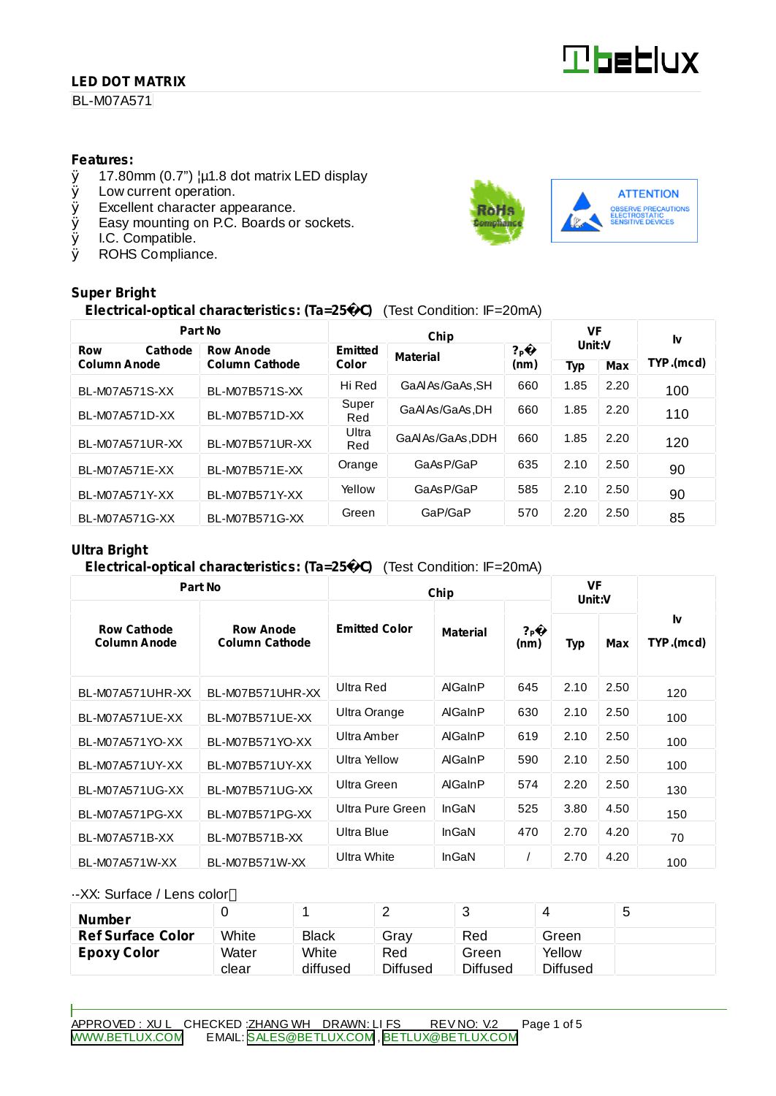### **LED DOT MATRIX**

BL-M07A571

#### **Features:**

- $\emptyset$  17.80mm (0.7")  $\mu$ 1.8 dot matrix LED display<br> $\emptyset$  Low current operation.
- Low current operation.
- Ø Excellent character appearance.
- Ø Easy mounting on P.C. Boards or sockets.
- Ø I.C. Compatible.
- Ø ROHS Compliance.

#### **Super Bright**

## **Electrical-optical characteristics: (Ta=25** C**)** (Test Condition: IF=20mA)

| Part No               |                       |              | VF              |                        | I٧     |            |           |  |
|-----------------------|-----------------------|--------------|-----------------|------------------------|--------|------------|-----------|--|
| <b>Row</b><br>Cathode | <b>Row Anode</b>      | Emitted      | <b>Material</b> | ? <sub>P</sub><br>(nm) | Unit:V |            |           |  |
| <b>Column Anode</b>   | <b>Column Cathode</b> |              | Color           |                        | Typ    | <b>Max</b> | TYP.(mcd) |  |
| BL-M07A571S-XX        | BL-M07B571S-XX        | Hi Red       | GaAlAs/GaAs, SH | 660                    | 1.85   | 2.20       | 100       |  |
| BL-M07A571D-XX        | BL-M07B571D-XX        | Super<br>Red | GaAlAs/GaAs.DH  | 660                    | 1.85   | 2.20       | 110       |  |
| BL-M07A571UR-XX       | BL-M07B571UR-XX       | Ultra<br>Red | GaAIAs/GaAs.DDH | 660                    | 1.85   | 2.20       | 120       |  |
| BL-M07A571E-XX        | BL-M07B571E-XX        | Orange       | GaAsP/GaP       | 635                    | 2.10   | 2.50       | 90        |  |
| BL-M07A571Y-XX        | BL-M07B571Y-XX        | Yellow       | GaAsP/GaP       | 585                    | 2.10   | 2.50       | 90        |  |
| BL-M07A571G-XX        | BL-M07B571G-XX        | Green        | GaP/GaP         | 570                    | 2.20   | 2.50       | 85        |  |

#### **Ultra Bright**

#### **Electrical-optical characteristics: (Ta=25** C**)** (Test Condition: IF=20mA)

| Part No                                   |                                           | Chip                 | <b>VF</b><br>Unit:V |                          |            |      |                 |  |
|-------------------------------------------|-------------------------------------------|----------------------|---------------------|--------------------------|------------|------|-----------------|--|
| <b>Row Cathode</b><br><b>Column Anode</b> | <b>Row Anode</b><br><b>Column Cathode</b> | <b>Emitted Color</b> | Material            | $?_{\mathsf{P}}$<br>(nm) | <b>Typ</b> | Max  | I٧<br>TYP.(mcd) |  |
| BL-M07A571UHR-XX                          | BL-M07B571UHR-XX                          | Ultra Red            | AlGaInP             | 645                      | 2.10       | 2.50 | 120             |  |
| BL-M07A571UE-XX                           | BL-M07B571UE-XX                           | Ultra Orange         | AlGaInP             | 630                      | 2.10       | 2.50 | 100             |  |
| BL-M07A571YO-XX                           | BL-M07B571YO-XX                           | Ultra Amber          | AlGaInP             | 619                      | 2.10       | 2.50 | 100             |  |
| BL-M07A571UY-XX                           | BL-M07B571UY-XX                           | Ultra Yellow         | AlGaInP             | 590                      | 2.10       | 2.50 | 100             |  |
| BL-M07A571UG-XX                           | BL-M07B571UG-XX                           | Ultra Green          | AlGaInP             | 574                      | 2.20       | 2.50 | 130             |  |
| BL-M07A571PG-XX                           | BL-M07B571PG-XX                           | Ultra Pure Green     | InGaN               | 525                      | 3.80       | 4.50 | 150             |  |
| BL-M07A571B-XX                            | BL-M07B571B-XX                            | Ultra Blue           | InGaN               | 470                      | 2.70       | 4.20 | 70              |  |
| BL-M07A571W-XX                            | BL-M07B571W-XX                            | Ultra White          | InGaN               |                          | 2.70       | 4.20 | 100             |  |

#### ·-XX: Surface / Lens color

| <b>Number</b>            |       |              | -               |                 |          | ັ |
|--------------------------|-------|--------------|-----------------|-----------------|----------|---|
| <b>Ref Surface Color</b> | White | <b>Black</b> | Grav            | Red             | Green    |   |
| <b>Epoxy Color</b>       | Water | White        | Red             | Green           | Yellow   |   |
|                          | clear | diffused     | <b>Diffused</b> | <b>Diffused</b> | Diffused |   |

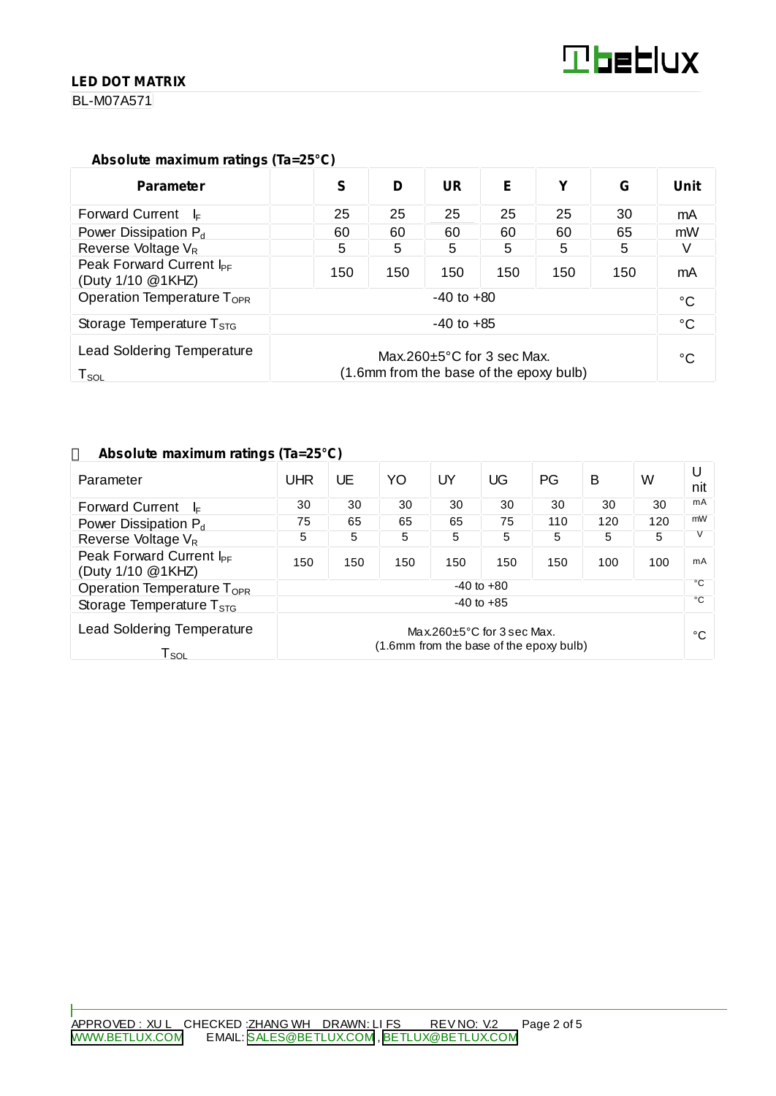#### **LED DOT MATRIX**

BL-M07A571

#### **Absolute maximum ratings (Ta=25°C)**

| <b>Parameter</b>                                                                                                                                | S              | D   | UR  | Е   | v   | G   | Unit |
|-------------------------------------------------------------------------------------------------------------------------------------------------|----------------|-----|-----|-----|-----|-----|------|
| <b>Forward Current</b><br>– l⊧                                                                                                                  | 25             | 25  | 25  | 25  | 25  | 30  | mA   |
| Power Dissipation $P_d$                                                                                                                         | 60             | 60  | 60  | 60  | 60  | 65  | mW   |
| Reverse Voltage V <sub>R</sub>                                                                                                                  | 5              | 5   | 5   | 5   | 5   | 5   |      |
| Peak Forward Current I <sub>PF</sub><br>(Duty 1/10 @1KHZ)                                                                                       | 150            | 150 | 150 | 150 | 150 | 150 | mA   |
| Operation Temperature T <sub>OPR</sub>                                                                                                          | $-40$ to $+80$ |     |     |     |     |     |      |
| Storage Temperature $T_{STG}$                                                                                                                   | $-40$ to $+85$ |     |     |     |     |     |      |
| <b>Lead Soldering Temperature</b><br>Max.260 $\pm$ 5°C for 3 sec Max.<br>(1.6mm from the base of the epoxy bulb)<br>$\mathsf{T}_{\mathsf{SOL}}$ |                |     |     |     | °C  |     |      |

#### **Absolute maximum ratings (Ta=25°C)**

| Parameter                                                 | <b>UHR</b>                                                                  | UE  | YO  | UY  | UG  | PG  | в   | W            | U<br>nit |
|-----------------------------------------------------------|-----------------------------------------------------------------------------|-----|-----|-----|-----|-----|-----|--------------|----------|
| <b>Forward Current</b><br>l⊧.                             | 30                                                                          | 30  | 30  | 30  | 30  | 30  | 30  | 30           | mA       |
| Power Dissipation $P_d$                                   | 75                                                                          | 65  | 65  | 65  | 75  | 110 | 120 | 120          | mW       |
| Reverse Voltage V <sub>R</sub>                            | 5                                                                           | 5   | 5   | 5   | 5   | 5   | 5   | 5            |          |
| Peak Forward Current I <sub>PF</sub><br>(Duty 1/10 @1KHZ) | 150                                                                         | 150 | 150 | 150 | 150 | 150 | 100 | 100          | mA       |
| $-40$ to $+80$<br>Operation Temperature T <sub>OPR</sub>  |                                                                             |     |     |     |     | °C  |     |              |          |
| Storage Temperature $T_{STG}$                             | $-40$ to $+85$                                                              |     |     |     |     |     |     | $^{\circ}$ C |          |
| <b>Lead Soldering Temperature</b><br>Lsoi.                | Max.260 $\pm$ 5°C for 3 sec Max.<br>(1.6mm from the base of the epoxy bulb) |     |     |     |     |     |     | °C           |          |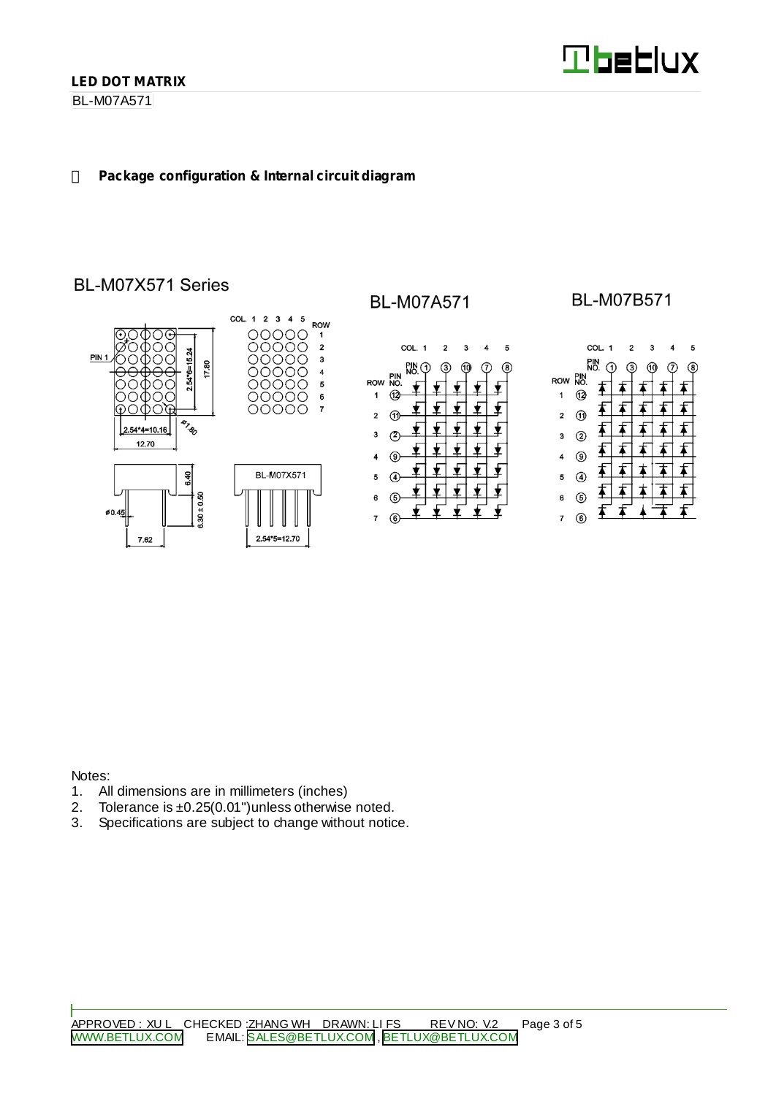BL-M07A571

#### **Package configuration & Internal circuit diagram**

# BL-M07X571 Series



## **BL-M07A571**



## **BL-M07B571**



Notes:

- 1. All dimensions are in millimeters (inches)<br>2. Tolerance is  $\pm 0.25(0.01)$  unless otherwise
- 2. Tolerance is  $\pm 0.25(0.01")$  unless otherwise noted.<br>3. Specifications are subject to change without notic
- Specifications are subject to change without notice.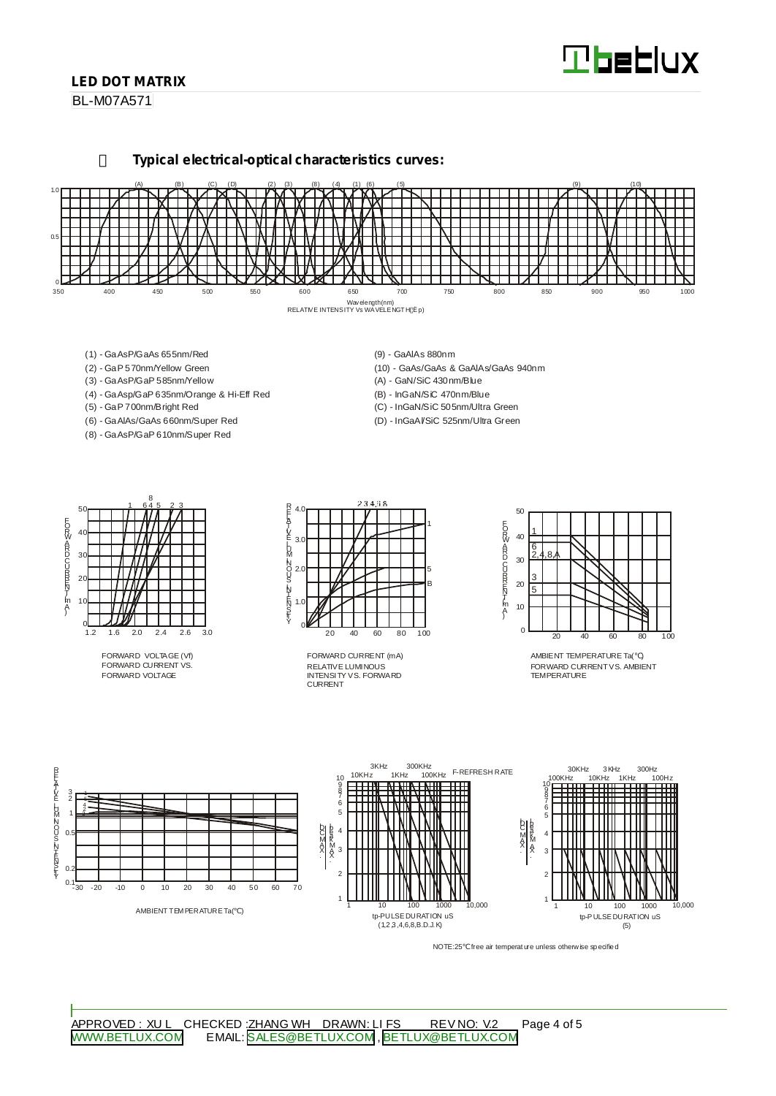# **Tbeblux**

#### **LED DOT MATRIX**

BL-M07A571

**Typical electrical-optical characteristics curves:**



- (1) GaAsP/GaAs 655nm/Red
- (2) GaP 570nm/Yellow Green
- (3) GaAsP/GaP 585nm/Yellow
- (4) GaAsp/GaP 635nm/Orange & Hi-Eff Red
- (5) GaP 700nm/Bright Red
- (6) GaAlAs/GaAs 660nm/Super Red
- (8) GaAsP/GaP 610nm/Super Red
- (9) GaAlAs 880nm
- (10) GaAs/GaAs & GaAlAs/GaAs 940nm
- (A) GaN/SiC 430nm/Blue
- (B) InGaN/SiC 470nm/Blue
- (C) InGaN/SiC 505nm/Ultra Green
- (D) InGaAl/SiC 525nm/Ultra Green



FORWARD VOLTAGE (Vf) FORWARD CURRENT VS. FORWARD VOLTAGE



RELATIVE LUMINOUS INTENSITY VS. FORWARD CURRENT FORWARD CURRENT (mA)



AMBIENT TEMPERATURE Ta( ) FORWARD CURRENTVS. AMBIENT TEMPER ATLIRE



NOTE:25 free air temperature unless otherwise specified